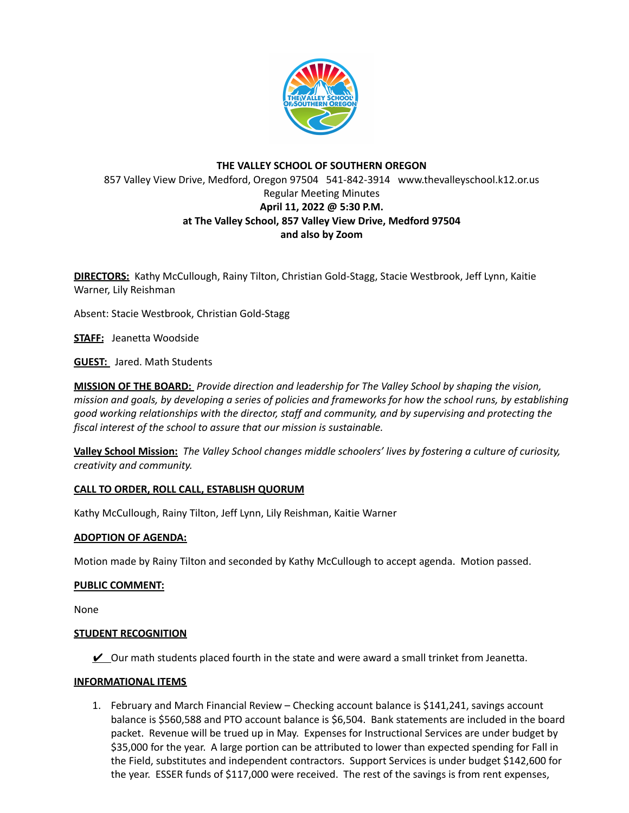

# **THE VALLEY SCHOOL OF SOUTHERN OREGON** 857 Valley View Drive, Medford, Oregon 97504 541-842-3914 www.thevalleyschool.k12.or.us Regular Meeting Minutes **April 11, 2022 @ 5:30 P.M. at The Valley School, 857 Valley View Drive, Medford 97504 and also by Zoom**

**DIRECTORS:** Kathy McCullough, Rainy Tilton, Christian Gold-Stagg, Stacie Westbrook, Jeff Lynn, Kaitie Warner, Lily Reishman

Absent: Stacie Westbrook, Christian Gold-Stagg

**STAFF:** Jeanetta Woodside

**GUEST:** Jared. Math Students

**MISSION OF THE BOARD:** *Provide direction and leadership for The Valley School by shaping the vision,* mission and goals, by developing a series of policies and frameworks for how the school runs, by establishing *good working relationships with the director, staff and community, and by supervising and protecting the fiscal interest of the school to assure that our mission is sustainable.*

**Valley School Mission:** *The Valley School changes middle schoolers' lives by fostering a culture of curiosity, creativity and community.*

## **CALL TO ORDER, ROLL CALL, ESTABLISH QUORUM**

Kathy McCullough, Rainy Tilton, Jeff Lynn, Lily Reishman, Kaitie Warner

## **ADOPTION OF AGENDA:**

Motion made by Rainy Tilton and seconded by Kathy McCullough to accept agenda. Motion passed.

## **PUBLIC COMMENT:**

None

## **STUDENT RECOGNITION**

 $\vee$  Our math students placed fourth in the state and were award a small trinket from Jeanetta.

## **INFORMATIONAL ITEMS**

1. February and March Financial Review – Checking account balance is \$141,241, savings account balance is \$560,588 and PTO account balance is \$6,504. Bank statements are included in the board packet. Revenue will be trued up in May. Expenses for Instructional Services are under budget by \$35,000 for the year. A large portion can be attributed to lower than expected spending for Fall in the Field, substitutes and independent contractors. Support Services is under budget \$142,600 for the year. ESSER funds of \$117,000 were received. The rest of the savings is from rent expenses,